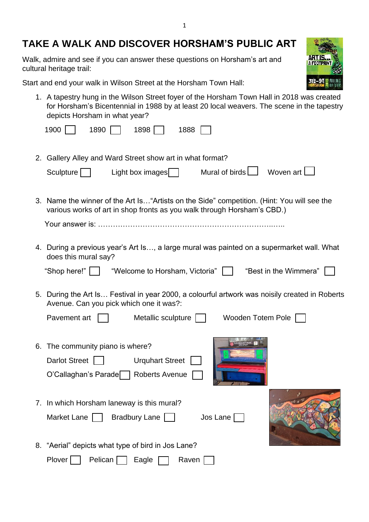## **TAKE A WALK AND DISCOVER HORSHAM'S PUBLIC ART**

Walk, admire and see if you can answer these questions on Horsham's art and cultural heritage trail:

Start and end your walk in Wilson Street at the Horsham Town Hall:

1. A tapestry hung in the Wilson Street foyer of the Horsham Town Hall in 2018 was created for Horsham's Bicentennial in 1988 by at least 20 local weavers. The scene in the tapestry depicts Horsham in what year?

**ARTIS A FOOTE** 

| depicts Horsham in what year?                                                                                                                                          |
|------------------------------------------------------------------------------------------------------------------------------------------------------------------------|
| 1900<br>1890<br>1898<br>1888                                                                                                                                           |
| 2. Gallery Alley and Ward Street show art in what format?                                                                                                              |
| Mural of birds $\Box$<br>Woven art I<br>Light box images $\Box$<br>Sculpture                                                                                           |
| 3. Name the winner of the Art Is "Artists on the Side" competition. (Hint: You will see the<br>various works of art in shop fronts as you walk through Horsham's CBD.) |
|                                                                                                                                                                        |
| 4. During a previous year's Art Is, a large mural was painted on a supermarket wall. What<br>does this mural say?                                                      |
| "Shop here!" $\vert \ \ \vert$<br>"Welcome to Horsham, Victoria"    <br>"Best in the Wimmera"                                                                          |
| 5. During the Art Is Festival in year 2000, a colourful artwork was noisily created in Roberts<br>Avenue. Can you pick which one it was?:                              |
| Pavement art<br>Metallic sculpture    <br>Wooden Totem Pole                                                                                                            |
| 6. The community piano is where?<br><b>Darlot Street</b><br><b>Urquhart Street</b><br><b>Roberts Avenue</b><br>O'Callaghan's Parade                                    |
| 7. In which Horsham laneway is this mural?<br>Market Lane<br>Bradbury Lane  <br>Jos Lane                                                                               |
| 8. "Aerial" depicts what type of bird in Jos Lane?                                                                                                                     |
| Plover<br>Pelican<br>Raven<br>Eagle                                                                                                                                    |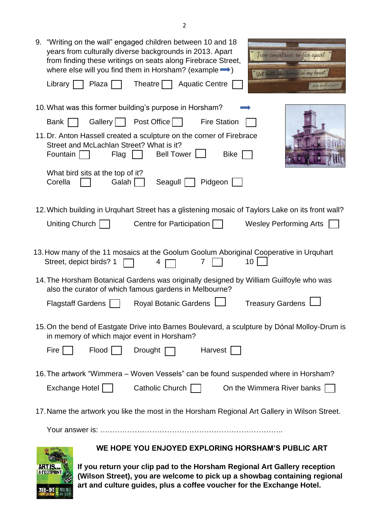| 9. "Writing on the wall" engaged children between 10 and 18<br>years from culturally diverse backgrounds in 2013. Apart<br>Two countries so far apart<br>from finding these writings on seats along Firebrace Street,<br>where else will you find them in Horsham? (example $\rightarrow$ )<br>Yet both are homes in my heart<br>Theatre $\Box$ Aquatic Centre<br>Plaza<br>Library  <br>Madhu Annath |  |  |  |  |
|------------------------------------------------------------------------------------------------------------------------------------------------------------------------------------------------------------------------------------------------------------------------------------------------------------------------------------------------------------------------------------------------------|--|--|--|--|
| 10. What was this former building's purpose in Horsham?                                                                                                                                                                                                                                                                                                                                              |  |  |  |  |
| <b>Fire Station</b><br>Gallery    <br>Post Office    <br><b>Bank</b>                                                                                                                                                                                                                                                                                                                                 |  |  |  |  |
| 11. Dr. Anton Hassell created a sculpture on the corner of Firebrace<br>Street and McLachlan Street? What is it?<br>Bell Tower    <br>Fountain<br><b>Bike</b><br>Flag                                                                                                                                                                                                                                |  |  |  |  |
| What bird sits at the top of it?<br>Corella<br>Galah<br>Pidgeon<br>Seagull                                                                                                                                                                                                                                                                                                                           |  |  |  |  |
| 12. Which building in Urquhart Street has a glistening mosaic of Taylors Lake on its front wall?                                                                                                                                                                                                                                                                                                     |  |  |  |  |
| Uniting Church  <br>Centre for Participation<br><b>Wesley Performing Arts</b>                                                                                                                                                                                                                                                                                                                        |  |  |  |  |
| 13. How many of the 11 mosaics at the Goolum Goolum Aboriginal Cooperative in Urquhart<br>Street, depict birds? 1<br>10 <sup>°</sup><br>4                                                                                                                                                                                                                                                            |  |  |  |  |
| 14. The Horsham Botanical Gardens was originally designed by William Guilfoyle who was<br>also the curator of which famous gardens in Melbourne?                                                                                                                                                                                                                                                     |  |  |  |  |
| <b>Treasury Gardens</b><br><b>Royal Botanic Gardens</b><br><b>Flagstaff Gardens</b>                                                                                                                                                                                                                                                                                                                  |  |  |  |  |
| 15. On the bend of Eastgate Drive into Barnes Boulevard, a sculpture by Dónal Molloy-Drum is<br>in memory of which major event in Horsham?                                                                                                                                                                                                                                                           |  |  |  |  |
| Harvest  <br>Fire $\vert \ \vert$<br>Flood    <br>Drought $\Box$                                                                                                                                                                                                                                                                                                                                     |  |  |  |  |
| 16. The artwork "Wimmera – Woven Vessels" can be found suspended where in Horsham?                                                                                                                                                                                                                                                                                                                   |  |  |  |  |
| Exchange Hotel    <br>Catholic Church    <br>On the Wimmera River banks                                                                                                                                                                                                                                                                                                                              |  |  |  |  |
| 17. Name the artwork you like the most in the Horsham Regional Art Gallery in Wilson Street.                                                                                                                                                                                                                                                                                                         |  |  |  |  |
|                                                                                                                                                                                                                                                                                                                                                                                                      |  |  |  |  |
| WE HOPE YOU ENJOYED EXPLORING HORSHAM'S PUBLIC ART                                                                                                                                                                                                                                                                                                                                                   |  |  |  |  |
| If you return your clin pad to the Horsham Regional Art Gallery reception                                                                                                                                                                                                                                                                                                                            |  |  |  |  |

**If you return your clip pad to the Horsham Regional Art Gallery reception (Wilson Street), you are welcome to pick up a showbag containing regional art and culture guides, plus a coffee voucher for the Exchange Hotel.**

A FOOTPRINT

31<mark>5–95</mark> mulium<br>Horsham Riddenine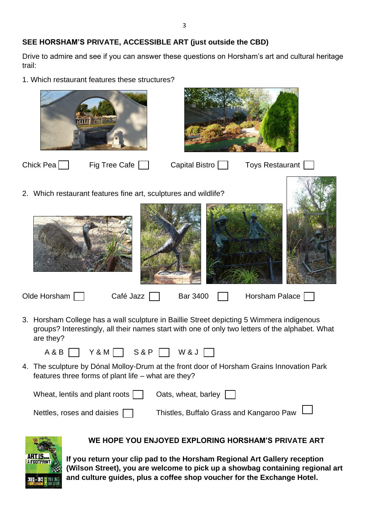## **SEE HORSHAM'S PRIVATE, ACCESSIBLE ART (just outside the CBD)**

Drive to admire and see if you can answer these questions on Horsham's art and cultural heritage trail:

1. Which restaurant features these structures?



Olde Horsham  $\Box$  Café Jazz  $\Box$  Bar 3400  $\Box$  Horsham Palace

3. Horsham College has a wall sculpture in Baillie Street depicting 5 Wimmera indigenous groups? Interestingly, all their names start with one of only two letters of the alphabet. What are they?

| A & B | $Y$ & M <sub>1</sub> | <b>S&amp;P</b> | W & J |  |
|-------|----------------------|----------------|-------|--|
|       |                      |                |       |  |

4. The sculpture by Dónal Molloy-Drum at the front door of Horsham Grains Innovation Park features three forms of plant life – what are they?

| Wheat, lentils and plant roots    | Oats, wheat, barley $\Box$               |
|-----------------------------------|------------------------------------------|
| Nettles, roses and daisies $\Box$ | Thistles, Buffalo Grass and Kangaroo Paw |



## **WE HOPE YOU ENJOYED EXPLORING HORSHAM'S PRIVATE ART**

**If you return your clip pad to the Horsham Regional Art Gallery reception (Wilson Street), you are welcome to pick up a showbag containing regional art and culture guides, plus a coffee shop voucher for the Exchange Hotel.**